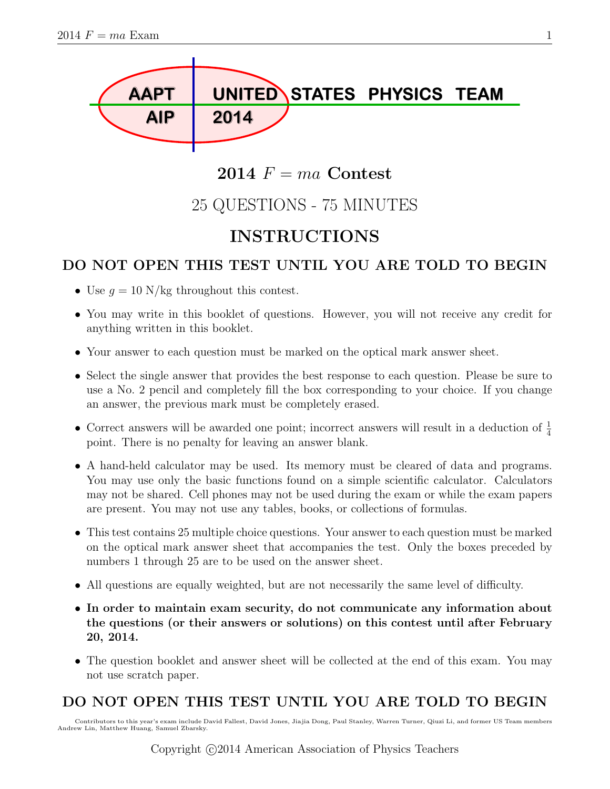

## 2014  $F = ma$  Contest

## 25 QUESTIONS - 75 MINUTES

## INSTRUCTIONS

### DO NOT OPEN THIS TEST UNTIL YOU ARE TOLD TO BEGIN

- Use  $q = 10$  N/kg throughout this contest.
- You may write in this booklet of questions. However, you will not receive any credit for anything written in this booklet.
- Your answer to each question must be marked on the optical mark answer sheet.
- Select the single answer that provides the best response to each question. Please be sure to use a No. 2 pencil and completely fill the box corresponding to your choice. If you change an answer, the previous mark must be completely erased.
- Correct answers will be awarded one point; incorrect answers will result in a deduction of  $\frac{1}{4}$ point. There is no penalty for leaving an answer blank.
- A hand-held calculator may be used. Its memory must be cleared of data and programs. You may use only the basic functions found on a simple scientific calculator. Calculators may not be shared. Cell phones may not be used during the exam or while the exam papers are present. You may not use any tables, books, or collections of formulas.
- This test contains 25 multiple choice questions. Your answer to each question must be marked on the optical mark answer sheet that accompanies the test. Only the boxes preceded by numbers 1 through 25 are to be used on the answer sheet.
- All questions are equally weighted, but are not necessarily the same level of difficulty.
- In order to maintain exam security, do not communicate any information about the questions (or their answers or solutions) on this contest until after February 20, 2014.
- The question booklet and answer sheet will be collected at the end of this exam. You may not use scratch paper.

### DO NOT OPEN THIS TEST UNTIL YOU ARE TOLD TO BEGIN

Contributors to this year's exam include David Fallest, David Jones, Jiajia Dong, Paul Stanley, Warren Turner, Qiuzi Li, and former US Team members Andrew Lin, Matthew Huang, Samuel Zbarsky.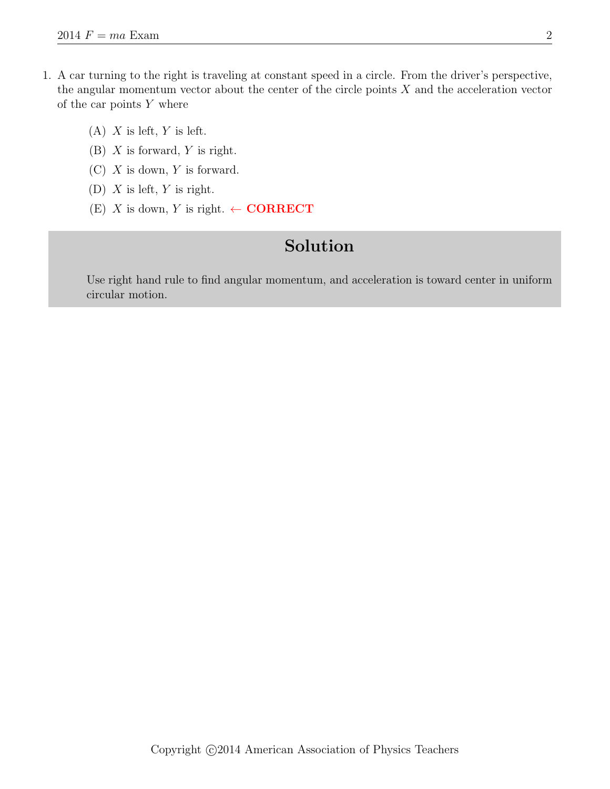- 1. A car turning to the right is traveling at constant speed in a circle. From the driver's perspective, the angular momentum vector about the center of the circle points  $X$  and the acceleration vector of the car points  $Y$  where
	- $(A)$  X is left, Y is left.
	- (B)  $X$  is forward,  $Y$  is right.
	- $(C)$  X is down, Y is forward.
	- (D)  $X$  is left,  $Y$  is right.
	- (E) X is down, Y is right.  $\leftarrow \textbf{CORRECT}$

Use right hand rule to find angular momentum, and acceleration is toward center in uniform circular motion.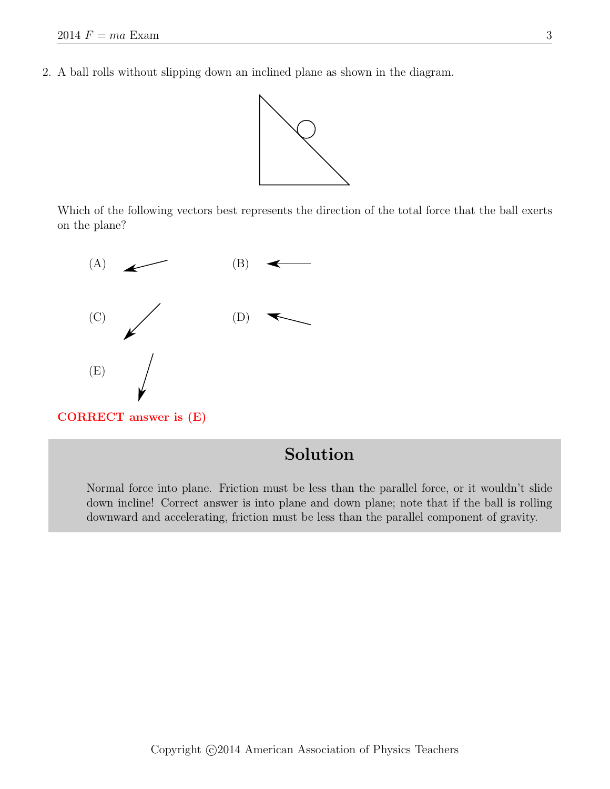2. A ball rolls without slipping down an inclined plane as shown in the diagram.



Which of the following vectors best represents the direction of the total force that the ball exerts on the plane?



CORRECT answer is (E)

## Solution

Normal force into plane. Friction must be less than the parallel force, or it wouldn't slide down incline! Correct answer is into plane and down plane; note that if the ball is rolling downward and accelerating, friction must be less than the parallel component of gravity.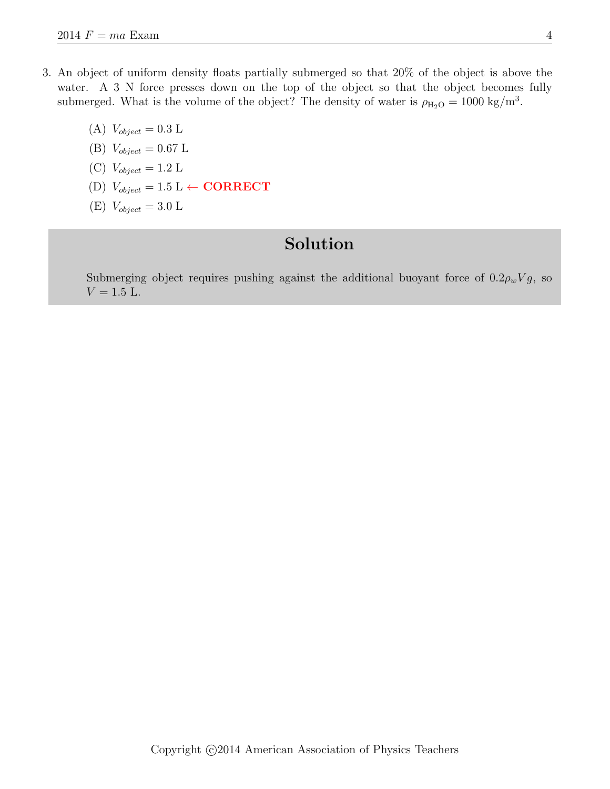- 3. An object of uniform density floats partially submerged so that 20% of the object is above the water. A 3 N force presses down on the top of the object so that the object becomes fully submerged. What is the volume of the object? The density of water is  $\rho_{\text{H}_2\text{O}} = 1000 \text{ kg/m}^3$ .
	- (A)  $V_{object} = 0.3$  L
	- (B)  $V_{object} = 0.67$  L
	- (C)  $V_{object} = 1.2$  L
	- (D)  $V_{object} = 1.5 \text{ L} \leftarrow \textbf{CORRECT}$
	- (E)  $V_{object} = 3.0 \text{ L}$

Submerging object requires pushing against the additional buoyant force of  $0.2\rho_wVg$ , so  $V = 1.5$  L.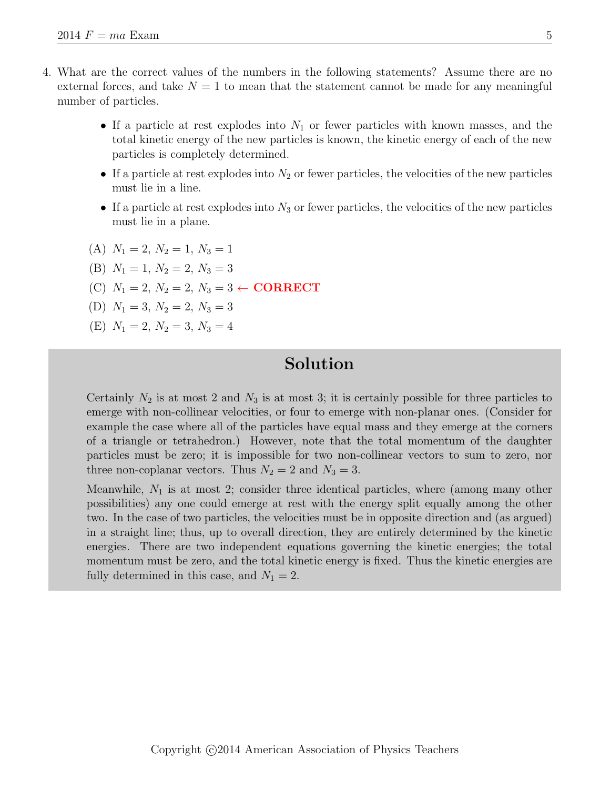- 4. What are the correct values of the numbers in the following statements? Assume there are no external forces, and take  $N = 1$  to mean that the statement cannot be made for any meaningful number of particles.
	- If a particle at rest explodes into  $N_1$  or fewer particles with known masses, and the total kinetic energy of the new particles is known, the kinetic energy of each of the new particles is completely determined.
	- If a particle at rest explodes into  $N_2$  or fewer particles, the velocities of the new particles must lie in a line.
	- If a particle at rest explodes into  $N_3$  or fewer particles, the velocities of the new particles must lie in a plane.
	- (A)  $N_1 = 2, N_2 = 1, N_3 = 1$
	- (B)  $N_1 = 1, N_2 = 2, N_3 = 3$
	- (C)  $N_1 = 2, N_2 = 2, N_3 = 3 \leftarrow \textbf{CORRECT}$
	- (D)  $N_1 = 3, N_2 = 2, N_3 = 3$
	- (E)  $N_1 = 2, N_2 = 3, N_3 = 4$

Certainly  $N_2$  is at most 2 and  $N_3$  is at most 3; it is certainly possible for three particles to emerge with non-collinear velocities, or four to emerge with non-planar ones. (Consider for example the case where all of the particles have equal mass and they emerge at the corners of a triangle or tetrahedron.) However, note that the total momentum of the daughter particles must be zero; it is impossible for two non-collinear vectors to sum to zero, nor three non-coplanar vectors. Thus  $N_2 = 2$  and  $N_3 = 3$ .

Meanwhile,  $N_1$  is at most 2; consider three identical particles, where (among many other possibilities) any one could emerge at rest with the energy split equally among the other two. In the case of two particles, the velocities must be in opposite direction and (as argued) in a straight line; thus, up to overall direction, they are entirely determined by the kinetic energies. There are two independent equations governing the kinetic energies; the total momentum must be zero, and the total kinetic energy is fixed. Thus the kinetic energies are fully determined in this case, and  $N_1 = 2$ .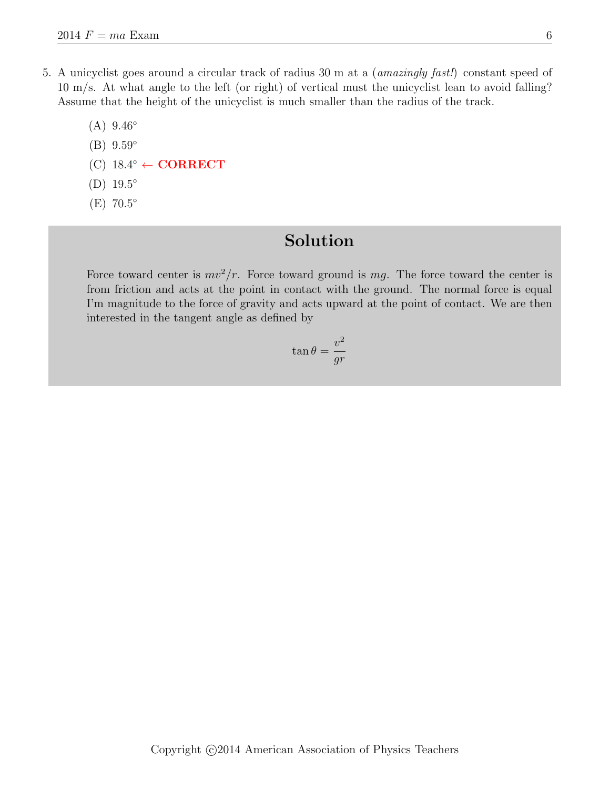5. A unicyclist goes around a circular track of radius 30 m at a (amazingly fast!) constant speed of 10 m/s. At what angle to the left (or right) of vertical must the unicyclist lean to avoid falling? Assume that the height of the unicyclist is much smaller than the radius of the track.

 $(A) 9.46^\circ$ 

- $(B) 9.59°$
- $(C)$  18.4°  $\leftarrow$  CORRECT
- (D) 19.5 ◦
- (E) 70.5 ◦

## Solution

Force toward center is  $mv^2/r$ . Force toward ground is mg. The force toward the center is from friction and acts at the point in contact with the ground. The normal force is equal I'm magnitude to the force of gravity and acts upward at the point of contact. We are then interested in the tangent angle as defined by

$$
\tan \theta = \frac{v^2}{gr}
$$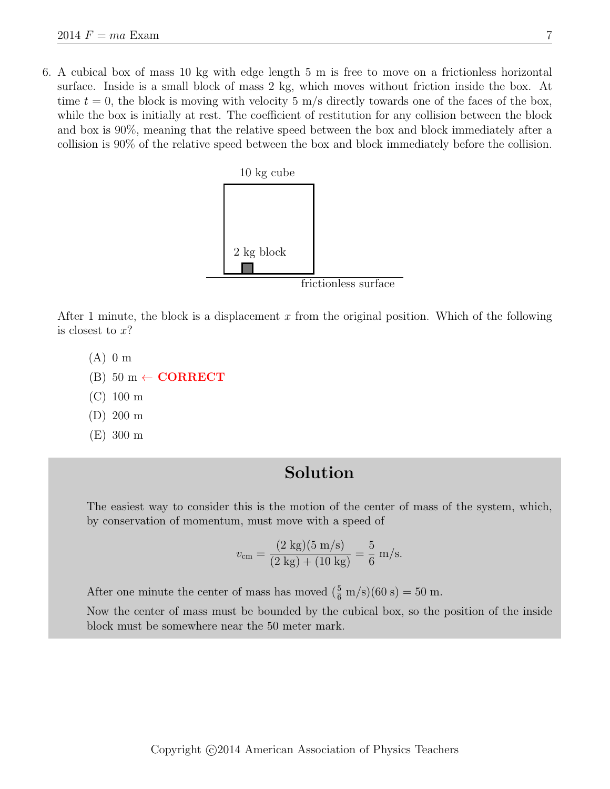6. A cubical box of mass 10 kg with edge length 5 m is free to move on a frictionless horizontal surface. Inside is a small block of mass 2 kg, which moves without friction inside the box. At time  $t = 0$ , the block is moving with velocity 5 m/s directly towards one of the faces of the box, while the box is initially at rest. The coefficient of restitution for any collision between the block and box is 90%, meaning that the relative speed between the box and block immediately after a collision is 90% of the relative speed between the box and block immediately before the collision.



After 1 minute, the block is a displacement x from the original position. Which of the following is closest to  $x$ ?

- (A) 0 m
- $(B)$  50 m  $\leftarrow$  **CORRECT**
- (C) 100 m
- (D) 200 m
- (E) 300 m

### Solution

The easiest way to consider this is the motion of the center of mass of the system, which, by conservation of momentum, must move with a speed of

$$
v_{\rm cm} = \frac{(2 \text{ kg})(5 \text{ m/s})}{(2 \text{ kg}) + (10 \text{ kg})} = \frac{5}{6} \text{ m/s}.
$$

After one minute the center of mass has moved  $(\frac{5}{6} \text{ m/s})(60 \text{ s}) = 50 \text{ m}$ .

Now the center of mass must be bounded by the cubical box, so the position of the inside block must be somewhere near the 50 meter mark.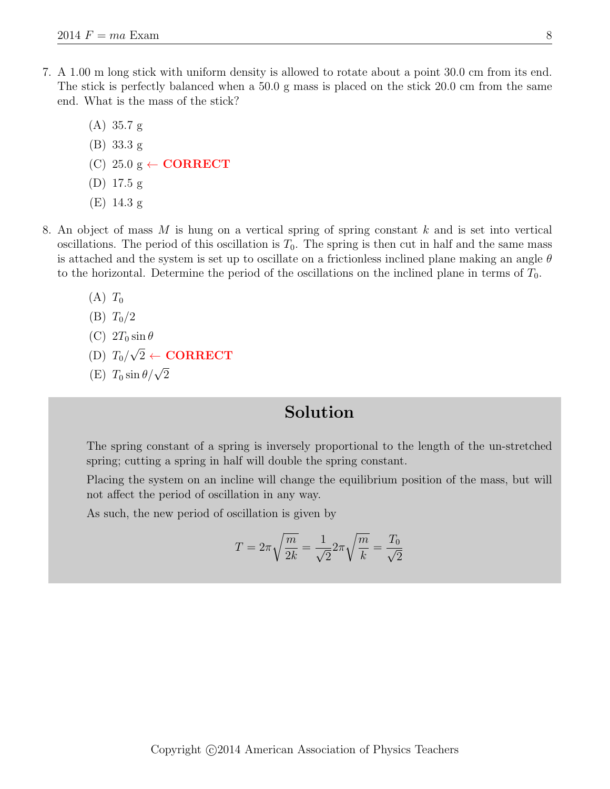- 7. A 1.00 m long stick with uniform density is allowed to rotate about a point 30.0 cm from its end. The stick is perfectly balanced when a 50.0 g mass is placed on the stick 20.0 cm from the same end. What is the mass of the stick?
	- (A) 35.7 g (B) 33.3 g (C) 25.0  $g \leftarrow \textbf{CORRECT}$ (D) 17.5 g (E) 14.3 g
- 8. An object of mass M is hung on a vertical spring of spring constant k and is set into vertical oscillations. The period of this oscillation is  $T_0$ . The spring is then cut in half and the same mass is attached and the system is set up to oscillate on a frictionless inclined plane making an angle  $\theta$ to the horizontal. Determine the period of the oscillations on the inclined plane in terms of  $T_0$ .
	- $(A)$   $T_0$
	- (B)  $T_0/2$
	- (C)  $2T_0 \sin \theta$ √
	- $(D)$   $T_0$ /  $2 \leftarrow \textbf{CORRECT}$
	- (E)  $T_0 \sin \theta / \sqrt{2}$

The spring constant of a spring is inversely proportional to the length of the un-stretched spring; cutting a spring in half will double the spring constant.

Placing the system on an incline will change the equilibrium position of the mass, but will not affect the period of oscillation in any way.

As such, the new period of oscillation is given by

$$
T = 2\pi \sqrt{\frac{m}{2k}} = \frac{1}{\sqrt{2}} 2\pi \sqrt{\frac{m}{k}} = \frac{T_0}{\sqrt{2}}
$$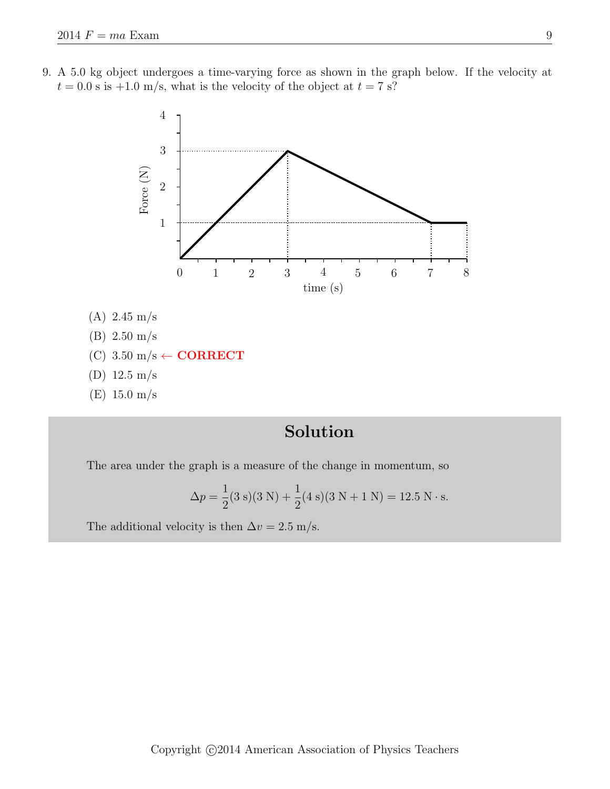9. A 5.0 kg object undergoes a time-varying force as shown in the graph below. If the velocity at  $t = 0.0$  s is  $+1.0$  m/s, what is the velocity of the object at  $t = 7$  s?



# Solution

The area under the graph is a measure of the change in momentum, so

$$
\Delta p = \frac{1}{2}(3 \text{ s})(3 \text{ N}) + \frac{1}{2}(4 \text{ s})(3 \text{ N} + 1 \text{ N}) = 12.5 \text{ N} \cdot \text{s}.
$$

The additional velocity is then  $\Delta v = 2.5$  m/s.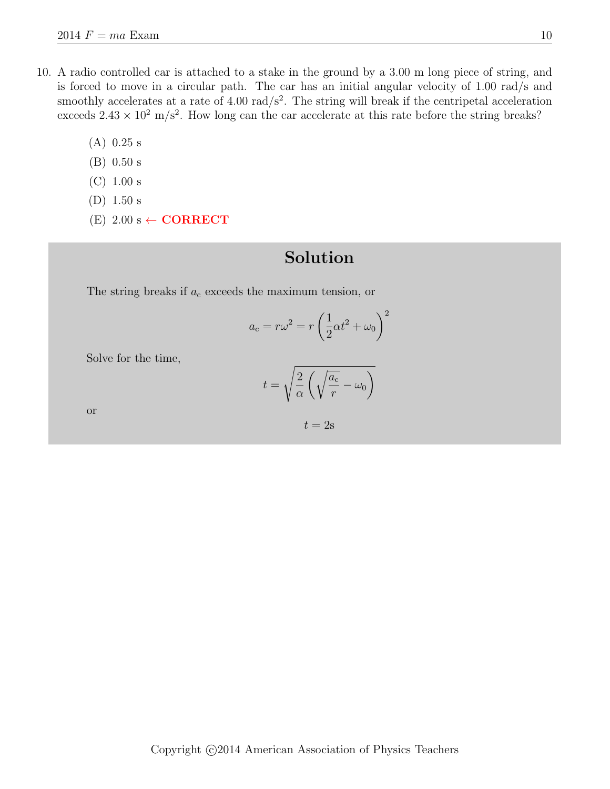- 10. A radio controlled car is attached to a stake in the ground by a 3.00 m long piece of string, and is forced to move in a circular path. The car has an initial angular velocity of 1.00 rad/s and smoothly accelerates at a rate of  $4.00 \text{ rad/s}^2$ . The string will break if the centripetal acceleration exceeds  $2.43 \times 10^2$  m/s<sup>2</sup>. How long can the car accelerate at this rate before the string breaks?
	- (A) 0.25 s
	- (B) 0.50 s
	- (C) 1.00 s
	- (D) 1.50 s
	- $(E)$  2.00 s  $\leftarrow$  **CORRECT**

The string breaks if  $a_c$  exceeds the maximum tension, or

$$
a_{\rm c} = r\omega^2 = r\left(\frac{1}{2}\alpha t^2 + \omega_0\right)^2
$$

Solve for the time,

$$
t = \sqrt{\frac{2}{\alpha} \left( \sqrt{\frac{a_{\rm c}}{r}} - \omega_0 \right)}
$$

or

$$
t=2\mathrm{s}
$$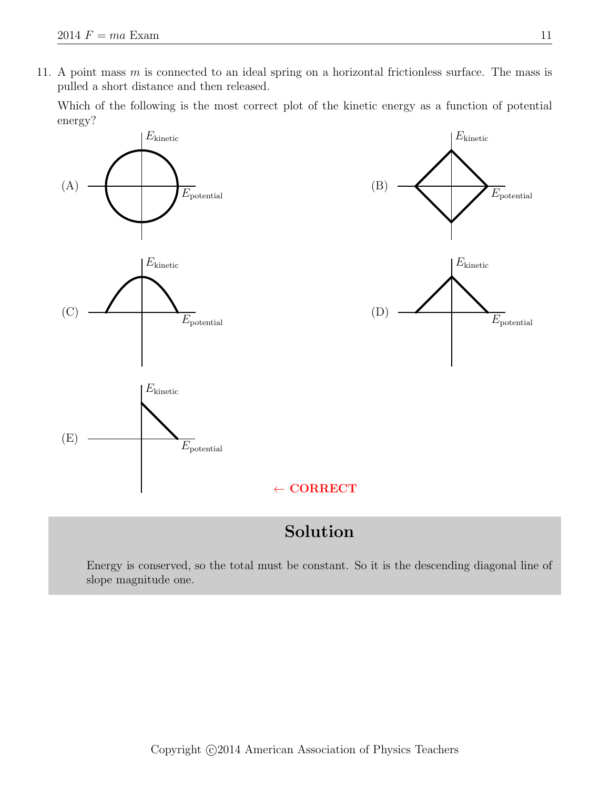11. A point mass  $m$  is connected to an ideal spring on a horizontal frictionless surface. The mass is pulled a short distance and then released.

Which of the following is the most correct plot of the kinetic energy as a function of potential energy?



## Solution

Energy is conserved, so the total must be constant. So it is the descending diagonal line of slope magnitude one.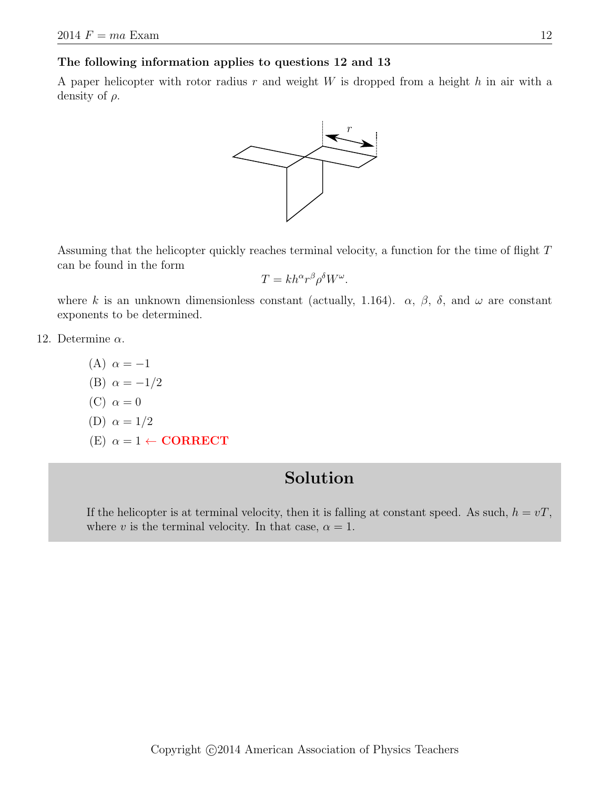The following information applies to questions 12 and 13

A paper helicopter with rotor radius  $r$  and weight  $W$  is dropped from a height  $h$  in air with a density of  $\rho$ .



Assuming that the helicopter quickly reaches terminal velocity, a function for the time of flight T can be found in the form

$$
T = kh^{\alpha}r^{\beta}\rho^{\delta}W^{\omega}.
$$

where k is an unknown dimensionless constant (actually, 1.164).  $\alpha$ ,  $\beta$ ,  $\delta$ , and  $\omega$  are constant exponents to be determined.

- 12. Determine  $\alpha$ .
	- (A)  $\alpha = -1$ (B)  $\alpha = -1/2$ (C)  $\alpha = 0$ (D)  $\alpha = 1/2$ (E)  $\alpha = 1 \leftarrow \textbf{CORRECT}$

### Solution

If the helicopter is at terminal velocity, then it is falling at constant speed. As such,  $h = vT$ , where v is the terminal velocity. In that case,  $\alpha = 1$ .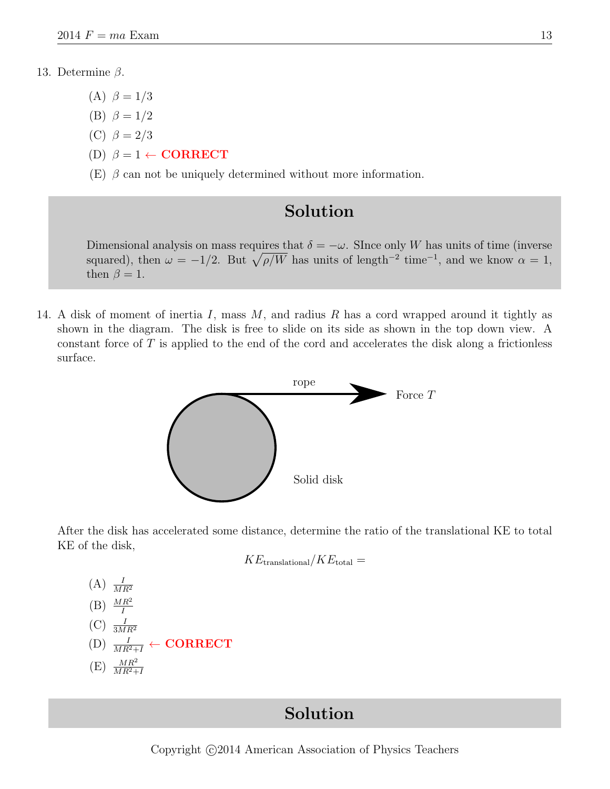#### 13. Determine β.

- (A)  $\beta = 1/3$
- (B)  $\beta = 1/2$
- (C)  $\beta = 2/3$
- (D)  $\beta = 1 \leftarrow \textbf{CORRECT}$

(E)  $\beta$  can not be uniquely determined without more information.

### Solution

Dimensional analysis on mass requires that  $\delta = -\omega$ . Since only W has units of time (inverse squared), then  $\omega = -1/2$ . But  $\sqrt{\rho/W}$  has units of length<sup>-2</sup> time<sup>-1</sup>, and we know  $\alpha = 1$ , then  $\beta = 1$ .

14. A disk of moment of inertia  $I$ , mass  $M$ , and radius  $R$  has a cord wrapped around it tightly as shown in the diagram. The disk is free to slide on its side as shown in the top down view. A constant force of  $T$  is applied to the end of the cord and accelerates the disk along a frictionless surface.



After the disk has accelerated some distance, determine the ratio of the translational KE to total KE of the disk,

$$
KE_{\rm translational}/KE_{\rm total} =
$$

(A) 
$$
\frac{I}{MR^2}
$$
  
\n(B)  $\frac{MR^2}{I}$   
\n(C)  $\frac{I}{3MR^2}$   
\n(D)  $\frac{I}{MR^2+I}$  **CORRECT**  
\n(E)  $\frac{MR^2}{MR^2+I}$ 

### Solution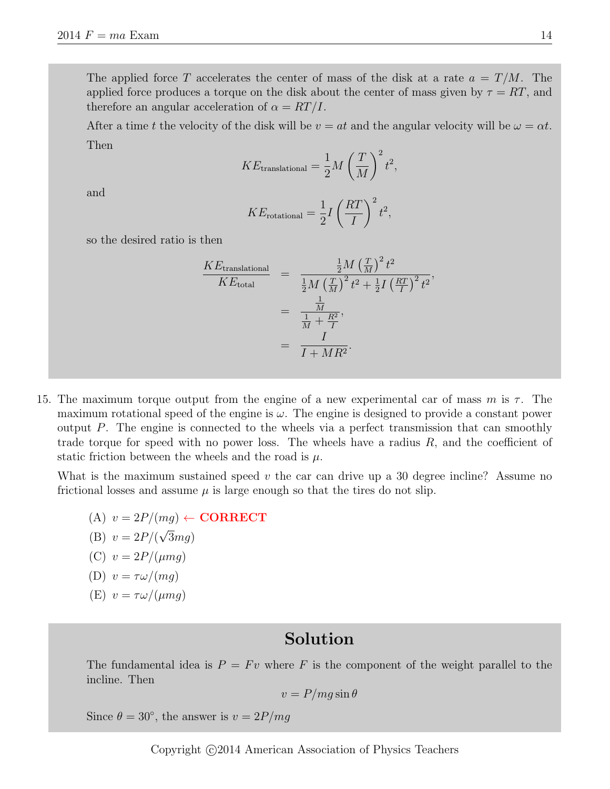The applied force T accelerates the center of mass of the disk at a rate  $a = T/M$ . The applied force produces a torque on the disk about the center of mass given by  $\tau = RT$ , and therefore an angular acceleration of  $\alpha = RT/I$ .

After a time t the velocity of the disk will be  $v = at$  and the angular velocity will be  $\omega = \alpha t$ . Then

$$
KE_{\text{translational}} = \frac{1}{2} M \left(\frac{T}{M}\right)^2 t^2,
$$

and

$$
KE_{\text{rotational}} = \frac{1}{2}I\left(\frac{RT}{I}\right)^2 t^2,
$$

so the desired ratio is then

$$
\frac{KE_{\text{translational}}}{KE_{\text{total}}} = \frac{\frac{1}{2}M\left(\frac{T}{M}\right)^2 t^2}{\frac{1}{2}M\left(\frac{T}{M}\right)^2 t^2 + \frac{1}{2}I\left(\frac{RT}{I}\right)^2 t^2},
$$
\n
$$
= \frac{\frac{1}{M}}{\frac{1}{M} + \frac{R^2}{I}},
$$
\n
$$
= \frac{I}{I + MR^2}.
$$

15. The maximum torque output from the engine of a new experimental car of mass m is  $\tau$ . The maximum rotational speed of the engine is  $\omega$ . The engine is designed to provide a constant power output P. The engine is connected to the wheels via a perfect transmission that can smoothly trade torque for speed with no power loss. The wheels have a radius  $R$ , and the coefficient of static friction between the wheels and the road is  $\mu$ .

What is the maximum sustained speed  $v$  the car can drive up a 30 degree incline? Assume no frictional losses and assume  $\mu$  is large enough so that the tires do not slip.

(A)  $v = 2P/(mg) \leftarrow \textbf{CORRECT}$ (B)  $v = 2P/($ √  $3mg)$ (C)  $v = 2P/(\mu mg)$ (D)  $v = \tau \omega/(mq)$ (E)  $v = \tau \omega/(\mu mg)$ 

### Solution

The fundamental idea is  $P = Fv$  where F is the component of the weight parallel to the incline. Then

$$
v = P/mg \sin \theta
$$

Since  $\theta = 30^{\circ}$ , the answer is  $v = 2P/mg$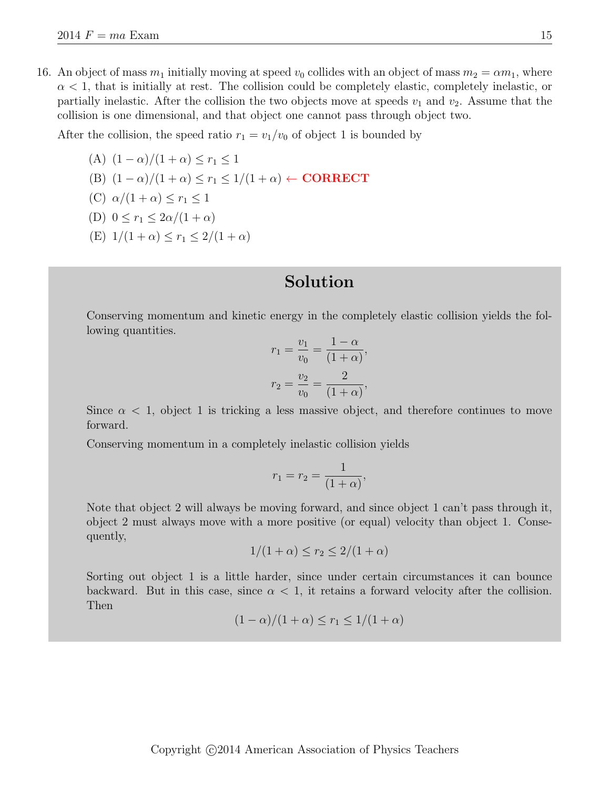16. An object of mass  $m_1$  initially moving at speed  $v_0$  collides with an object of mass  $m_2 = \alpha m_1$ , where  $\alpha$  < 1, that is initially at rest. The collision could be completely elastic, completely inelastic, or partially inelastic. After the collision the two objects move at speeds  $v_1$  and  $v_2$ . Assume that the collision is one dimensional, and that object one cannot pass through object two.

After the collision, the speed ratio  $r_1 = v_1/v_0$  of object 1 is bounded by

(A) 
$$
(1 - \alpha)/(1 + \alpha) \le r_1 \le 1
$$
  
\n(B)  $(1 - \alpha)/(1 + \alpha) \le r_1 \le 1/(1 + \alpha) \leftarrow \text{CORRECT}$   
\n(C)  $\alpha/(1 + \alpha) \le r_1 \le 1$   
\n(D)  $0 \le r_1 \le 2\alpha/(1 + \alpha)$ 

(E)  $1/(1+\alpha) < r_1 < 2/(1+\alpha)$ 

### Solution

Conserving momentum and kinetic energy in the completely elastic collision yields the following quantities.

$$
r_1 = \frac{v_1}{v_0} = \frac{1 - \alpha}{(1 + \alpha)},
$$
  

$$
r_2 = \frac{v_2}{v_0} = \frac{2}{(1 + \alpha)},
$$

Since  $\alpha$  < 1, object 1 is tricking a less massive object, and therefore continues to move forward.

Conserving momentum in a completely inelastic collision yields

$$
r_1 = r_2 = \frac{1}{(1+\alpha)},
$$

Note that object 2 will always be moving forward, and since object 1 can't pass through it, object 2 must always move with a more positive (or equal) velocity than object 1. Consequently,

$$
1/(1+\alpha) \le r_2 \le 2/(1+\alpha)
$$

Sorting out object 1 is a little harder, since under certain circumstances it can bounce backward. But in this case, since  $\alpha < 1$ , it retains a forward velocity after the collision. Then

$$
(1 - \alpha)/(1 + \alpha) \le r_1 \le 1/(1 + \alpha)
$$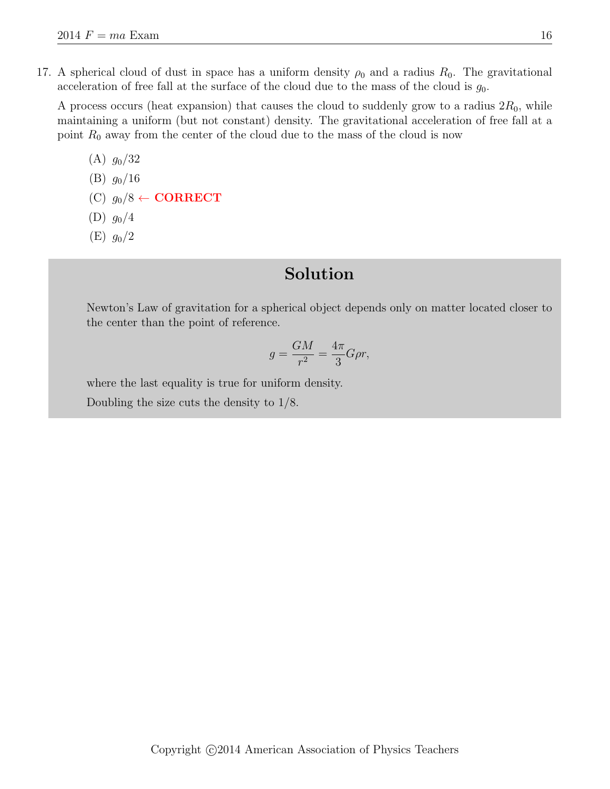17. A spherical cloud of dust in space has a uniform density  $\rho_0$  and a radius  $R_0$ . The gravitational acceleration of free fall at the surface of the cloud due to the mass of the cloud is  $g_0$ .

A process occurs (heat expansion) that causes the cloud to suddenly grow to a radius  $2R_0$ , while maintaining a uniform (but not constant) density. The gravitational acceleration of free fall at a point  $R_0$  away from the center of the cloud due to the mass of the cloud is now

- $(A)$   $q_0/32$ (B)  $g_0/16$
- (C)  $g_0/8 \leftarrow \textbf{CORRECT}$
- $(D)$   $g_0/4$
- $(E)$   $g_0/2$

### Solution

Newton's Law of gravitation for a spherical object depends only on matter located closer to the center than the point of reference.

$$
g = \frac{GM}{r^2} = \frac{4\pi}{3}G\rho r,
$$

where the last equality is true for uniform density.

Doubling the size cuts the density to 1/8.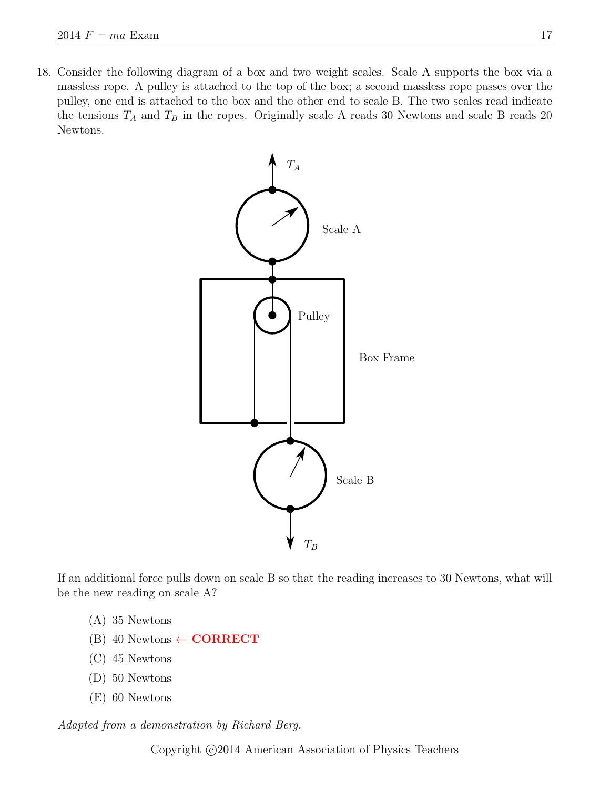18. Consider the following diagram of a box and two weight scales. Scale A supports the box via a massless rope. A pulley is attached to the top of the box; a second massless rope passes over the pulley, one end is attached to the box and the other end to scale B. The two scales read indicate the tensions  $T_A$  and  $T_B$  in the ropes. Originally scale A reads 30 Newtons and scale B reads 20 Newtons.



If an additional force pulls down on scale B so that the reading increases to 30 Newtons, what will be the new reading on scale A?

- (A) 35 Newtons
- $(B)$  40 Newtons  $\leftarrow$  **CORRECT**
- (C) 45 Newtons
- (D) 50 Newtons
- (E) 60 Newtons

Adapted from a demonstration by Richard Berg.

Copyright  $\odot$ 2014 American Association of Physics Teachers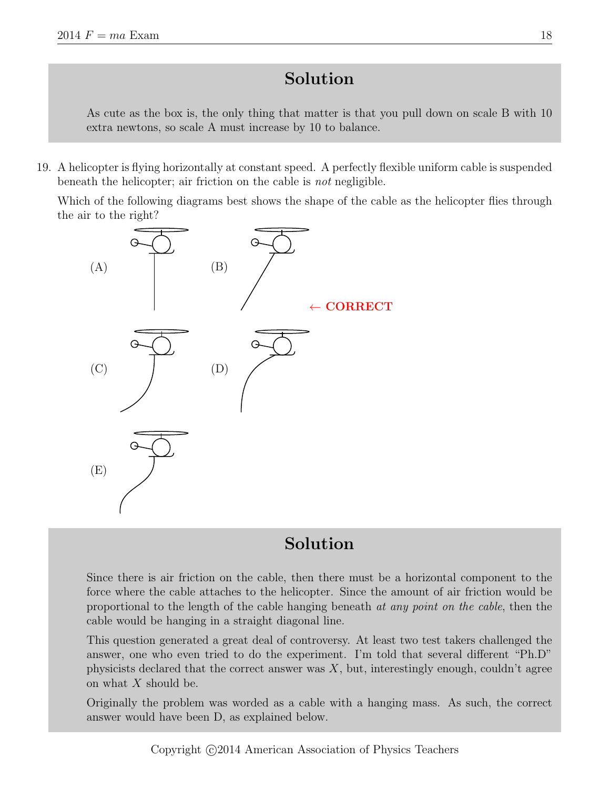As cute as the box is, the only thing that matter is that you pull down on scale B with 10 extra newtons, so scale A must increase by 10 to balance.

19. A helicopter is flying horizontally at constant speed. A perfectly flexible uniform cable is suspended beneath the helicopter; air friction on the cable is not negligible.

Which of the following diagrams best shows the shape of the cable as the helicopter flies through the air to the right?



## Solution

Since there is air friction on the cable, then there must be a horizontal component to the force where the cable attaches to the helicopter. Since the amount of air friction would be proportional to the length of the cable hanging beneath at any point on the cable, then the cable would be hanging in a straight diagonal line.

This question generated a great deal of controversy. At least two test takers challenged the answer, one who even tried to do the experiment. I'm told that several different "Ph.D" physicists declared that the correct answer was  $X$ , but, interestingly enough, couldn't agree on what X should be.

Originally the problem was worded as a cable with a hanging mass. As such, the correct answer would have been D, as explained below.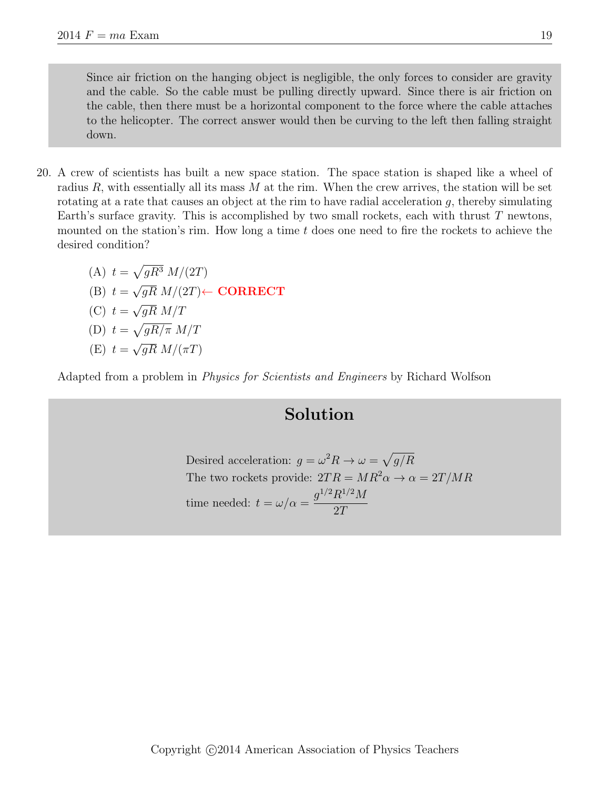Since air friction on the hanging object is negligible, the only forces to consider are gravity and the cable. So the cable must be pulling directly upward. Since there is air friction on the cable, then there must be a horizontal component to the force where the cable attaches to the helicopter. The correct answer would then be curving to the left then falling straight down.

- 20. A crew of scientists has built a new space station. The space station is shaped like a wheel of radius  $R$ , with essentially all its mass  $M$  at the rim. When the crew arrives, the station will be set rotating at a rate that causes an object at the rim to have radial acceleration  $g$ , thereby simulating Earth's surface gravity. This is accomplished by two small rockets, each with thrust  $T$  newtons, mounted on the station's rim. How long a time  $t$  does one need to fire the rockets to achieve the desired condition?
	- (A)  $t = \sqrt{gR^3} M/(2T)$  $(B)$   $t =$  $^{\prime}$  $\overline{gR}$   $M/(2T)$  $\leftarrow$   $\mathbf{CORRECT}$  $(C)$   $t =$ √  $\overline{gR}$   $M/T$ (D)  $t = \sqrt{gR/\pi} M/T$  $(E)$   $t =$  $\mathbf{v}_{\alpha}$  $\overline{gR}$   $M/(\pi T)$

Adapted from a problem in Physics for Scientists and Engineers by Richard Wolfson

### Solution

Desired acceleration:  $g = \omega^2 R \rightarrow \omega = \sqrt{g/R}$ The two rockets provide:  $2TR = MR^2\alpha \rightarrow \alpha = 2T/MR$ time needed:  $t = \omega/\alpha =$  $g^{1/2}R^{1/2}M$ 2T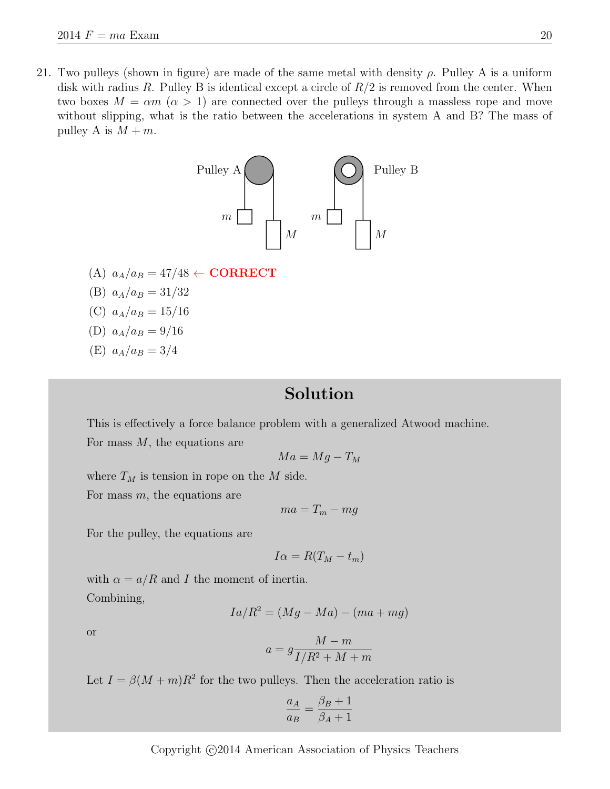21. Two pulleys (shown in figure) are made of the same metal with density  $\rho$ . Pulley A is a uniform disk with radius R. Pulley B is identical except a circle of  $R/2$  is removed from the center. When two boxes  $M = \alpha m \ (\alpha > 1)$  are connected over the pulleys through a massless rope and move without slipping, what is the ratio between the accelerations in system A and B? The mass of pulley A is  $M + m$ .



- (A)  $a_A/a_B = 47/48 \leftarrow \textbf{CORRECT}$
- (B)  $a_A/a_B = 31/32$
- (C)  $a_A/a_B = 15/16$

(D) 
$$
a_A/a_B = 9/16
$$

(E)  $a_A/a_B = 3/4$ 

### Solution

This is effectively a force balance problem with a generalized Atwood machine. For mass  $M$ , the equations are

$$
Ma = Mg - T_M
$$

where  $T_M$  is tension in rope on the M side.

For mass  $m$ , the equations are

$$
ma = T_m - mg
$$

For the pulley, the equations are

$$
I\alpha = R(T_M - t_m)
$$

with  $\alpha = a/R$  and I the moment of inertia. Combining,

$$
Ia/R^2 = (Mg - Ma) - (ma + mg)
$$

or

$$
a = g \frac{M - m}{I/R^2 + M + m}
$$

Let  $I = \beta(M+m)R^2$  for the two pulleys. Then the acceleration ratio is

$$
\frac{a_A}{a_B} = \frac{\beta_B + 1}{\beta_A + 1}
$$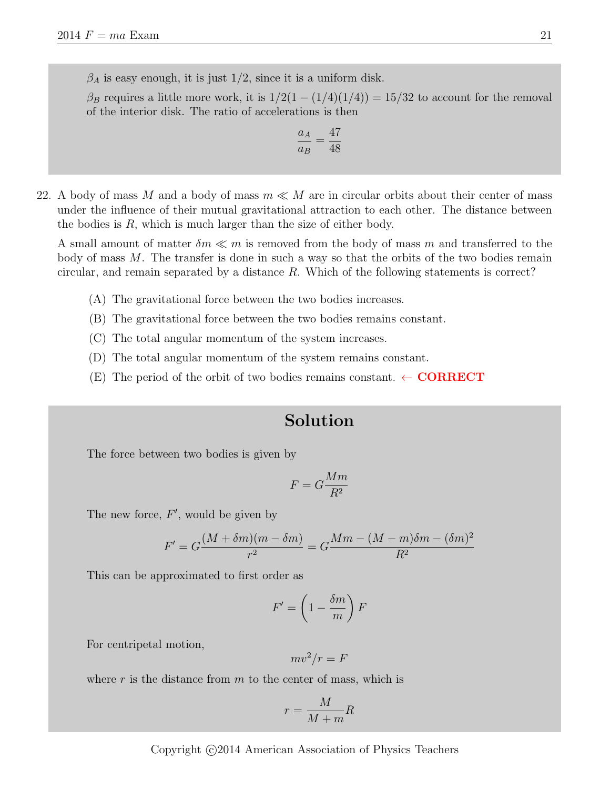$\beta_A$  is easy enough, it is just 1/2, since it is a uniform disk.

 $\beta_B$  requires a little more work, it is  $1/2(1-(1/4)(1/4)) = 15/32$  to account for the removal of the interior disk. The ratio of accelerations is then

$$
\frac{a_A}{a_B} = \frac{47}{48}
$$

22. A body of mass M and a body of mass  $m \ll M$  are in circular orbits about their center of mass under the influence of their mutual gravitational attraction to each other. The distance between the bodies is R, which is much larger than the size of either body.

A small amount of matter  $\delta m \ll m$  is removed from the body of mass m and transferred to the body of mass  $M$ . The transfer is done in such a way so that the orbits of the two bodies remain circular, and remain separated by a distance  $R$ . Which of the following statements is correct?

- (A) The gravitational force between the two bodies increases.
- (B) The gravitational force between the two bodies remains constant.
- (C) The total angular momentum of the system increases.
- (D) The total angular momentum of the system remains constant.
- (E) The period of the orbit of two bodies remains constant.  $\leftarrow \textbf{CORRECT}$

### Solution

The force between two bodies is given by

$$
F = G\frac{Mm}{R^2}
$$

The new force,  $F'$ , would be given by

$$
F' = G\frac{(M + \delta m)(m - \delta m)}{r^2} = G\frac{Mm - (M - m)\delta m - (\delta m)^2}{R^2}
$$

This can be approximated to first order as

$$
F' = \left(1 - \frac{\delta m}{m}\right)F
$$

For centripetal motion,

$$
mv^2/r = F
$$

where  $r$  is the distance from  $m$  to the center of mass, which is

$$
r = \frac{M}{M+m}R
$$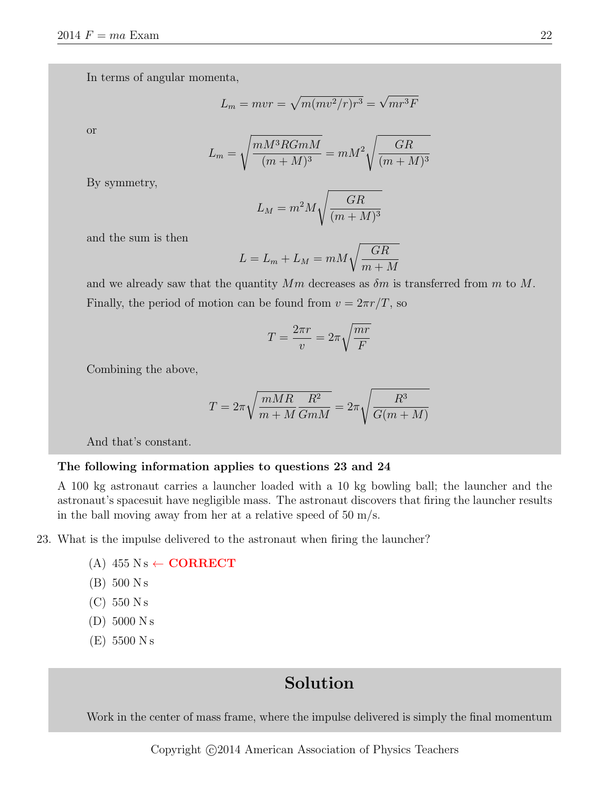In terms of angular momenta,

$$
L_m = mvr = \sqrt{m(mv^2/r)r^3} = \sqrt{mr^3F}
$$

or

$$
L_m = \sqrt{\frac{mM^3RGmM}{(m+M)^3}} = mM^2 \sqrt{\frac{GR}{(m+M)^3}}
$$

By symmetry,

$$
L_M = m^2 M \sqrt{\frac{GR}{(m+M)^3}}
$$

and the sum is then

$$
L = L_m + L_M = mM \sqrt{\frac{GR}{m+M}}
$$

and we already saw that the quantity  $Mm$  decreases as  $\delta m$  is transferred from m to M. Finally, the period of motion can be found from  $v = 2\pi r/T$ , so

$$
T = \frac{2\pi r}{v} = 2\pi \sqrt{\frac{mr}{F}}
$$

Combining the above,

$$
T = 2\pi \sqrt{\frac{mMR}{m+M}} \frac{R^2}{GmM} = 2\pi \sqrt{\frac{R^3}{G(m+M)}}
$$

And that's constant.

#### The following information applies to questions 23 and 24

A 100 kg astronaut carries a launcher loaded with a 10 kg bowling ball; the launcher and the astronaut's spacesuit have negligible mass. The astronaut discovers that firing the launcher results in the ball moving away from her at a relative speed of  $50 \text{ m/s}$ .

- 23. What is the impulse delivered to the astronaut when firing the launcher?
	- (A)  $455 \text{ N s} \leftarrow \text{CORRECT}$
	- (B) 500 N s
	- $(C)$  550 N s
	- (D) 5000 N s
	- (E) 5500 N s

## Solution

Work in the center of mass frame, where the impulse delivered is simply the final momentum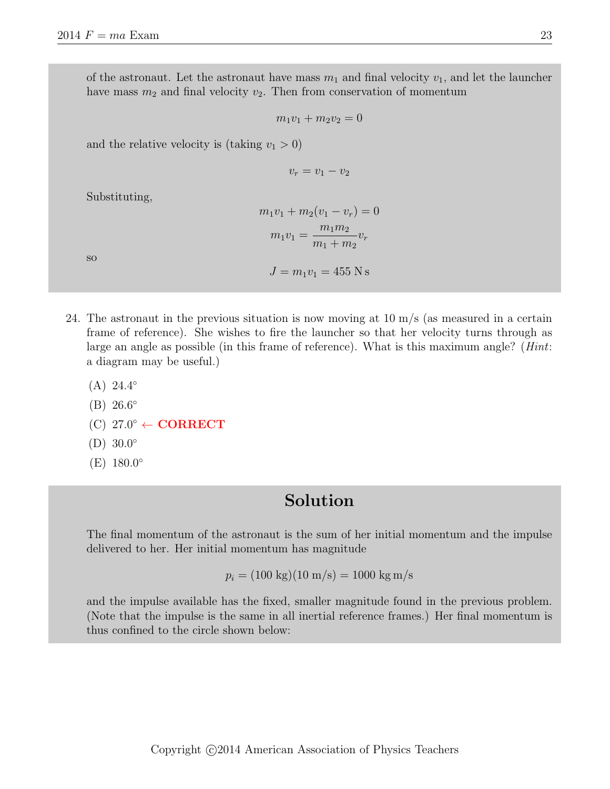of the astronaut. Let the astronaut have mass  $m_1$  and final velocity  $v_1$ , and let the launcher have mass  $m_2$  and final velocity  $v_2$ . Then from conservation of momentum

$$
m_1v_1 + m_2v_2 = 0
$$

and the relative velocity is (taking  $v_1 > 0$ )

$$
v_r = v_1 - v_2
$$

Substituting,

| $m_1v_1 + m_2(v_1 - v_r) = 0$        |
|--------------------------------------|
| $m_1 m_2$<br>$m_1v_1$<br>$m_1 + m_2$ |
|                                      |

 $J = m_1v_1 = 455$  N s

so

24. The astronaut in the previous situation is now moving at 10 m/s (as measured in a certain frame of reference). She wishes to fire the launcher so that her velocity turns through as large an angle as possible (in this frame of reference). What is this maximum angle? (Hint: a diagram may be useful.)

- $(A) 24.4^{\circ}$
- $(B) 26.6^{\circ}$
- $(C)$  27.0 $\degree \leftarrow \textbf{CORRECT}$
- $(D) 30.0^{\circ}$
- $(E) 180.0^{\circ}$

### Solution

The final momentum of the astronaut is the sum of her initial momentum and the impulse delivered to her. Her initial momentum has magnitude

$$
p_i = (100 \text{ kg})(10 \text{ m/s}) = 1000 \text{ kg m/s}
$$

and the impulse available has the fixed, smaller magnitude found in the previous problem. (Note that the impulse is the same in all inertial reference frames.) Her final momentum is thus confined to the circle shown below: